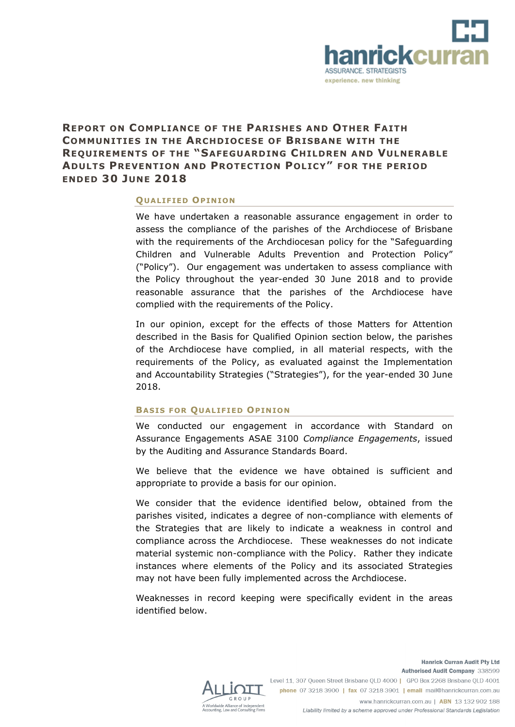

# **REPORT ON COMPLIANCE OF THE PARISHES AND OTHER FAITH COMMUNITIES IN THE ARCHDIOCESE OF BRISBANE WITH THE REQUIREMENTS OF THE "SAFEGUARDING CHILDREN AND VULNERABLE ADULTS PREVENTION AND PROTECTION POLICY" FOR THE PERIOD ENDED 30 JUNE 2018**

#### **QUALIFIED OPINION**

We have undertaken a reasonable assurance engagement in order to assess the compliance of the parishes of the Archdiocese of Brisbane with the requirements of the Archdiocesan policy for the "Safeguarding Children and Vulnerable Adults Prevention and Protection Policy" ("Policy"). Our engagement was undertaken to assess compliance with the Policy throughout the year-ended 30 June 2018 and to provide reasonable assurance that the parishes of the Archdiocese have complied with the requirements of the Policy.

In our opinion, except for the effects of those Matters for Attention described in the Basis for Qualified Opinion section below, the parishes of the Archdiocese have complied, in all material respects, with the requirements of the Policy, as evaluated against the Implementation and Accountability Strategies ("Strategies"), for the year-ended 30 June 2018.

### **BASIS FOR QUALIFIED OPINION**

We conducted our engagement in accordance with Standard on Assurance Engagements ASAE 3100 *Compliance Engagements*, issued by the Auditing and Assurance Standards Board.

We believe that the evidence we have obtained is sufficient and appropriate to provide a basis for our opinion.

We consider that the evidence identified below, obtained from the parishes visited, indicates a degree of non-compliance with elements of the Strategies that are likely to indicate a weakness in control and compliance across the Archdiocese. These weaknesses do not indicate material systemic non-compliance with the Policy. Rather they indicate instances where elements of the Policy and its associated Strategies may not have been fully implemented across the Archdiocese.

Weaknesses in record keeping were specifically evident in the areas identified below.



Authorised Audit Company 338599 Level 11, 307 Queen Street Brisbane QLD 4000 | GPO Box 2268 Brisbane QLD 4001 phone 07 3218 3900 | fax 07 3218 3901 | email mail@hanrickcurran.com.au www.hanrickcurran.com.au | ABN 13 132 902 188

**Hanrick Curran Audit Pty Ltd** 

Liability limited by a scheme approved under Professional Standards Legislation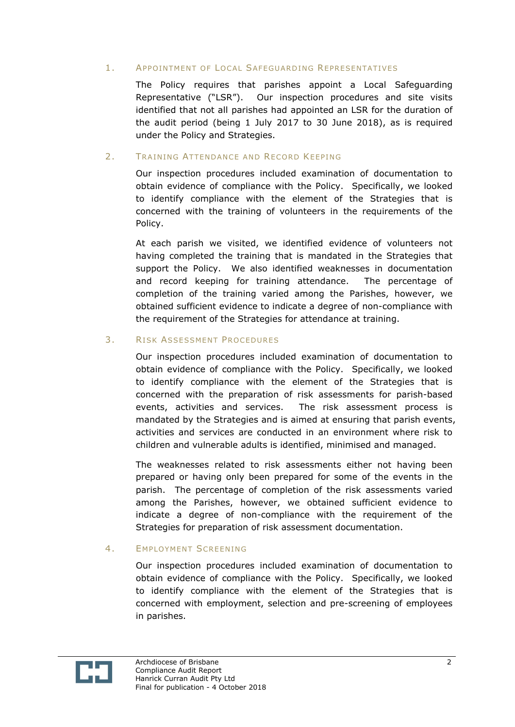## 1. APPOINTMENT OF LOCAL SAFEGUARDING REPRESENTATIVES

The Policy requires that parishes appoint a Local Safeguarding Representative ("LSR"). Our inspection procedures and site visits identified that not all parishes had appointed an LSR for the duration of the audit period (being 1 July 2017 to 30 June 2018), as is required under the Policy and Strategies.

## 2. TRAINING ATTENDANCE AND RECORD KEEPING

Our inspection procedures included examination of documentation to obtain evidence of compliance with the Policy. Specifically, we looked to identify compliance with the element of the Strategies that is concerned with the training of volunteers in the requirements of the Policy.

At each parish we visited, we identified evidence of volunteers not having completed the training that is mandated in the Strategies that support the Policy. We also identified weaknesses in documentation and record keeping for training attendance. The percentage of completion of the training varied among the Parishes, however, we obtained sufficient evidence to indicate a degree of non-compliance with the requirement of the Strategies for attendance at training.

# 3. RISK ASSESSMENT PROCEDURES

Our inspection procedures included examination of documentation to obtain evidence of compliance with the Policy. Specifically, we looked to identify compliance with the element of the Strategies that is concerned with the preparation of risk assessments for parish-based events, activities and services. The risk assessment process is mandated by the Strategies and is aimed at ensuring that parish events, activities and services are conducted in an environment where risk to children and vulnerable adults is identified, minimised and managed.

The weaknesses related to risk assessments either not having been prepared or having only been prepared for some of the events in the parish. The percentage of completion of the risk assessments varied among the Parishes, however, we obtained sufficient evidence to indicate a degree of non-compliance with the requirement of the Strategies for preparation of risk assessment documentation.

# 4. **EMPLOYMENT SCREENING**

Our inspection procedures included examination of documentation to obtain evidence of compliance with the Policy. Specifically, we looked to identify compliance with the element of the Strategies that is concerned with employment, selection and pre-screening of employees in parishes.

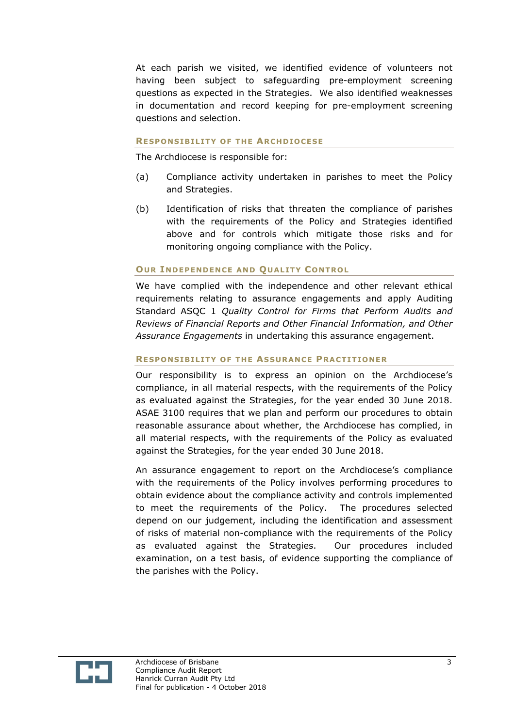At each parish we visited, we identified evidence of volunteers not having been subject to safeguarding pre-employment screening questions as expected in the Strategies. We also identified weaknesses in documentation and record keeping for pre-employment screening questions and selection.

#### **RESPONSIBILITY OF THE ARCHDIOCESE**

The Archdiocese is responsible for:

- (a) Compliance activity undertaken in parishes to meet the Policy and Strategies.
- (b) Identification of risks that threaten the compliance of parishes with the requirements of the Policy and Strategies identified above and for controls which mitigate those risks and for monitoring ongoing compliance with the Policy.

#### **OUR INDEPENDENCE AND QUALITY CONTROL**

We have complied with the independence and other relevant ethical requirements relating to assurance engagements and apply Auditing Standard ASQC 1 *Quality Control for Firms that Perform Audits and Reviews of Financial Reports and Other Financial Information, and Other Assurance Engagements* in undertaking this assurance engagement.

#### **RESPONSIBILITY OF THE ASSURANCE PRACTITIONER**

Our responsibility is to express an opinion on the Archdiocese's compliance, in all material respects, with the requirements of the Policy as evaluated against the Strategies, for the year ended 30 June 2018. ASAE 3100 requires that we plan and perform our procedures to obtain reasonable assurance about whether, the Archdiocese has complied, in all material respects, with the requirements of the Policy as evaluated against the Strategies, for the year ended 30 June 2018.

An assurance engagement to report on the Archdiocese's compliance with the requirements of the Policy involves performing procedures to obtain evidence about the compliance activity and controls implemented to meet the requirements of the Policy. The procedures selected depend on our judgement, including the identification and assessment of risks of material non-compliance with the requirements of the Policy as evaluated against the Strategies. Our procedures included examination, on a test basis, of evidence supporting the compliance of the parishes with the Policy.